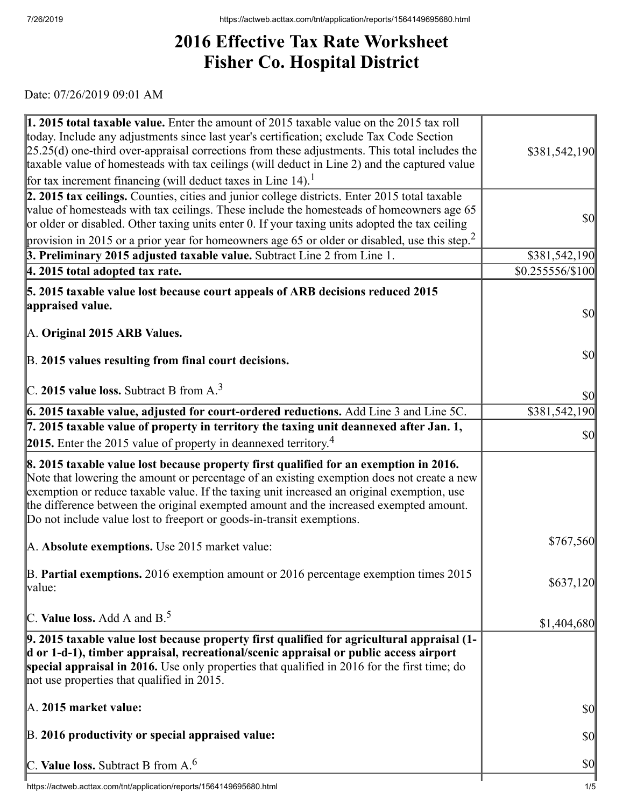## **2016 Effective Tax Rate Worksheet Fisher Co. Hospital District**

Date: 07/26/2019 09:01 AM

| 1. 2015 total taxable value. Enter the amount of 2015 taxable value on the 2015 tax roll<br>today. Include any adjustments since last year's certification; exclude Tax Code Section<br>$[25.25(d)$ one-third over-appraisal corrections from these adjustments. This total includes the<br>taxable value of homesteads with tax ceilings (will deduct in Line 2) and the captured value                                                             | \$381,542,190                       |
|------------------------------------------------------------------------------------------------------------------------------------------------------------------------------------------------------------------------------------------------------------------------------------------------------------------------------------------------------------------------------------------------------------------------------------------------------|-------------------------------------|
| for tax increment financing (will deduct taxes in Line 14). <sup>1</sup>                                                                                                                                                                                                                                                                                                                                                                             |                                     |
| 2. 2015 tax ceilings. Counties, cities and junior college districts. Enter 2015 total taxable<br>value of homesteads with tax ceilings. These include the homesteads of homeowners age 65<br>or older or disabled. Other taxing units enter 0. If your taxing units adopted the tax ceiling                                                                                                                                                          | $\sqrt{50}$                         |
| provision in 2015 or a prior year for homeowners age 65 or older or disabled, use this step. <sup>2</sup>                                                                                                                                                                                                                                                                                                                                            |                                     |
| 3. Preliminary 2015 adjusted taxable value. Subtract Line 2 from Line 1.                                                                                                                                                                                                                                                                                                                                                                             | \$381,542,190                       |
| $ 4.2015$ total adopted tax rate.                                                                                                                                                                                                                                                                                                                                                                                                                    | $$0.255556/\$100$                   |
| 5. 2015 taxable value lost because court appeals of ARB decisions reduced 2015                                                                                                                                                                                                                                                                                                                                                                       |                                     |
| appraised value.                                                                                                                                                                                                                                                                                                                                                                                                                                     | \$0                                 |
| A. Original 2015 ARB Values.                                                                                                                                                                                                                                                                                                                                                                                                                         |                                     |
|                                                                                                                                                                                                                                                                                                                                                                                                                                                      |                                     |
| B. 2015 values resulting from final court decisions.                                                                                                                                                                                                                                                                                                                                                                                                 | $\vert \mathbf{S} \mathbf{0} \vert$ |
|                                                                                                                                                                                                                                                                                                                                                                                                                                                      |                                     |
| $\vert$ C. 2015 value loss. Subtract B from A. <sup>3</sup>                                                                                                                                                                                                                                                                                                                                                                                          | \$0                                 |
| 6. 2015 taxable value, adjusted for court-ordered reductions. Add Line 3 and Line 5C.                                                                                                                                                                                                                                                                                                                                                                | \$381,542,190                       |
| 7. 2015 taxable value of property in territory the taxing unit deannexed after Jan. 1,                                                                                                                                                                                                                                                                                                                                                               |                                     |
| 2015. Enter the 2015 value of property in deannexed territory. <sup>4</sup>                                                                                                                                                                                                                                                                                                                                                                          | \$0                                 |
| 8. 2015 taxable value lost because property first qualified for an exemption in 2016.<br>Note that lowering the amount or percentage of an existing exemption does not create a new<br>exemption or reduce taxable value. If the taxing unit increased an original exemption, use<br>the difference between the original exempted amount and the increased exempted amount.<br>Do not include value lost to freeport or goods-in-transit exemptions. |                                     |
| A. Absolute exemptions. Use 2015 market value:                                                                                                                                                                                                                                                                                                                                                                                                       | \$767,560                           |
| $\mathbb B$ . Partial exemptions. 2016 exemption amount or 2016 percentage exemption times 2015<br>value:                                                                                                                                                                                                                                                                                                                                            | \$637,120                           |
| C. Value loss. Add A and $B^5$ .                                                                                                                                                                                                                                                                                                                                                                                                                     | \$1,404,680                         |
| $\vert$ 9. 2015 taxable value lost because property first qualified for agricultural appraisal (1-<br>d or 1-d-1), timber appraisal, recreational/scenic appraisal or public access airport<br>special appraisal in 2016. Use only properties that qualified in 2016 for the first time; do<br>not use properties that qualified in 2015.                                                                                                            |                                     |
| A. 2015 market value:                                                                                                                                                                                                                                                                                                                                                                                                                                | \$0                                 |
| B. 2016 productivity or special appraised value:                                                                                                                                                                                                                                                                                                                                                                                                     | $ 10\rangle$                        |
|                                                                                                                                                                                                                                                                                                                                                                                                                                                      | \$0                                 |
| C. Value loss. Subtract B from $A^6$ .                                                                                                                                                                                                                                                                                                                                                                                                               |                                     |

 $\overline{\phantom{a}}$ https://actweb.acttax.com/tnt/application/reports/1564149695680.html 1/5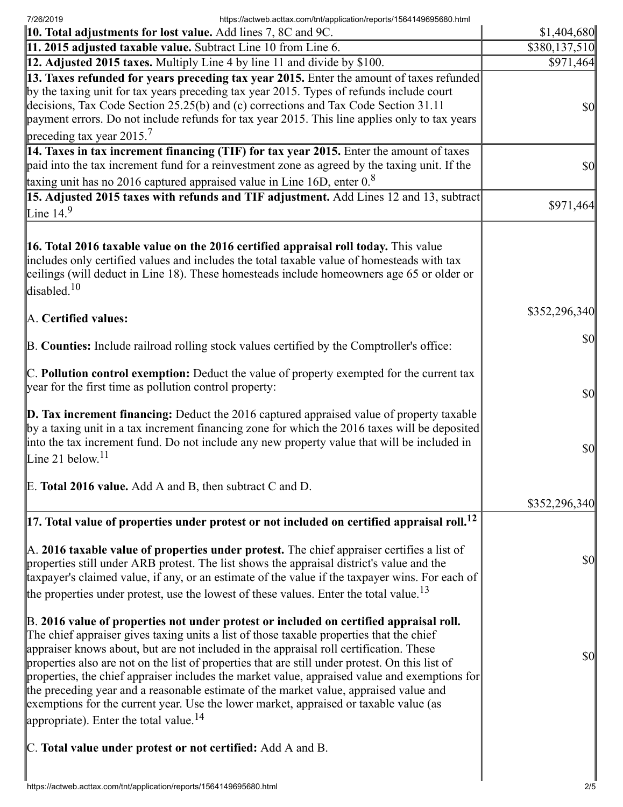7/26/2019 https://actweb.acttax.com/tnt/application/reports/1564149695680.html

| <b>10. Total adjustments for lost value.</b> Add lines 7, 8C and 9C.                                                                                                                                                                                                                                                                                                                                                                                                                                                                                                                                                                                                                                                     | \$1,404,680   |
|--------------------------------------------------------------------------------------------------------------------------------------------------------------------------------------------------------------------------------------------------------------------------------------------------------------------------------------------------------------------------------------------------------------------------------------------------------------------------------------------------------------------------------------------------------------------------------------------------------------------------------------------------------------------------------------------------------------------------|---------------|
| 11. 2015 adjusted taxable value. Subtract Line 10 from Line 6.                                                                                                                                                                                                                                                                                                                                                                                                                                                                                                                                                                                                                                                           | \$380,137,510 |
| 12. Adjusted 2015 taxes. Multiply Line 4 by line 11 and divide by \$100.                                                                                                                                                                                                                                                                                                                                                                                                                                                                                                                                                                                                                                                 | \$971,464     |
| 13. Taxes refunded for years preceding tax year 2015. Enter the amount of taxes refunded<br>by the taxing unit for tax years preceding tax year 2015. Types of refunds include court<br>decisions, Tax Code Section 25.25(b) and (c) corrections and Tax Code Section 31.11<br>payment errors. Do not include refunds for tax year 2015. This line applies only to tax years<br>preceding tax year $2015.7$                                                                                                                                                                                                                                                                                                              | $ 10\rangle$  |
| 14. Taxes in tax increment financing (TIF) for tax year 2015. Enter the amount of taxes<br>paid into the tax increment fund for a reinvestment zone as agreed by the taxing unit. If the<br>taxing unit has no 2016 captured appraised value in Line 16D, enter $0.8$                                                                                                                                                                                                                                                                                                                                                                                                                                                    | $ 10\rangle$  |
| 15. Adjusted 2015 taxes with refunds and TIF adjustment. Add Lines 12 and 13, subtract                                                                                                                                                                                                                                                                                                                                                                                                                                                                                                                                                                                                                                   |               |
| Line $14.9$                                                                                                                                                                                                                                                                                                                                                                                                                                                                                                                                                                                                                                                                                                              | \$971,464     |
| 16. Total 2016 taxable value on the 2016 certified appraisal roll today. This value<br>includes only certified values and includes the total taxable value of homesteads with tax<br>ceilings (will deduct in Line 18). These homesteads include homeowners age 65 or older or<br>disabled. $10$                                                                                                                                                                                                                                                                                                                                                                                                                         |               |
| A. Certified values:                                                                                                                                                                                                                                                                                                                                                                                                                                                                                                                                                                                                                                                                                                     | \$352,296,340 |
| B. Counties: Include railroad rolling stock values certified by the Comptroller's office:                                                                                                                                                                                                                                                                                                                                                                                                                                                                                                                                                                                                                                | $ 10\rangle$  |
| $\mathbb C$ . Pollution control exemption: Deduct the value of property exempted for the current tax<br>year for the first time as pollution control property:                                                                                                                                                                                                                                                                                                                                                                                                                                                                                                                                                           | $ 10\rangle$  |
| $\mathbf D$ . Tax increment financing: Deduct the 2016 captured appraised value of property taxable<br>by a taxing unit in a tax increment financing zone for which the 2016 taxes will be deposited<br>into the tax increment fund. Do not include any new property value that will be included in<br>Line 21 below. <sup>11</sup>                                                                                                                                                                                                                                                                                                                                                                                      | $ 10\rangle$  |
| E. Total 2016 value. Add A and B, then subtract C and D.                                                                                                                                                                                                                                                                                                                                                                                                                                                                                                                                                                                                                                                                 | \$352,296,340 |
| $\vert$ 17. Total value of properties under protest or not included on certified appraisal roll. <sup>12</sup>                                                                                                                                                                                                                                                                                                                                                                                                                                                                                                                                                                                                           |               |
| A. 2016 taxable value of properties under protest. The chief appraiser certifies a list of<br>properties still under ARB protest. The list shows the appraisal district's value and the<br>taxpayer's claimed value, if any, or an estimate of the value if the taxpayer wins. For each of<br>the properties under protest, use the lowest of these values. Enter the total value. <sup>13</sup>                                                                                                                                                                                                                                                                                                                         | $ 10\rangle$  |
| B. 2016 value of properties not under protest or included on certified appraisal roll.<br>The chief appraiser gives taxing units a list of those taxable properties that the chief<br>appraiser knows about, but are not included in the appraisal roll certification. These<br>properties also are not on the list of properties that are still under protest. On this list of<br>properties, the chief appraiser includes the market value, appraised value and exemptions for<br>the preceding year and a reasonable estimate of the market value, appraised value and<br>exemptions for the current year. Use the lower market, appraised or taxable value (as<br>appropriate). Enter the total value. <sup>14</sup> | \$0           |
| C. Total value under protest or not certified: Add A and B.                                                                                                                                                                                                                                                                                                                                                                                                                                                                                                                                                                                                                                                              |               |
|                                                                                                                                                                                                                                                                                                                                                                                                                                                                                                                                                                                                                                                                                                                          |               |
| https://actweb.acttax.com/tnt/application/reports/1564149695680.html                                                                                                                                                                                                                                                                                                                                                                                                                                                                                                                                                                                                                                                     | 2/5           |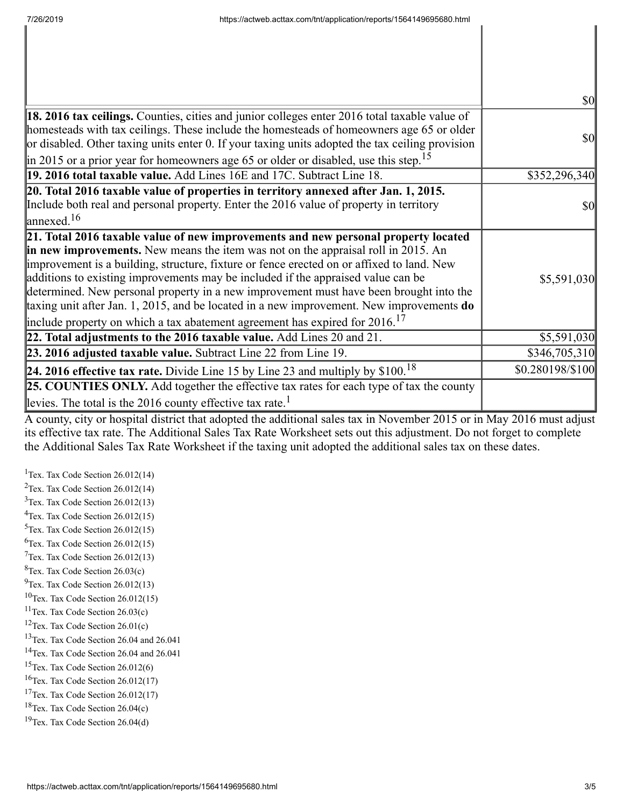|                                                                                                                                                                                                                                                                                                                                                                                                                                                                                                                                                                                                                                              | <b>\$0</b>       |
|----------------------------------------------------------------------------------------------------------------------------------------------------------------------------------------------------------------------------------------------------------------------------------------------------------------------------------------------------------------------------------------------------------------------------------------------------------------------------------------------------------------------------------------------------------------------------------------------------------------------------------------------|------------------|
| 18. 2016 tax ceilings. Counties, cities and junior colleges enter 2016 total taxable value of<br>homesteads with tax ceilings. These include the homesteads of homeowners age 65 or older<br>or disabled. Other taxing units enter 0. If your taxing units adopted the tax ceiling provision<br>in 2015 or a prior year for homeowners age 65 or older or disabled, use this step. <sup>15</sup>                                                                                                                                                                                                                                             | <b>\$0</b>       |
| 19. 2016 total taxable value. Add Lines 16E and 17C. Subtract Line 18.                                                                                                                                                                                                                                                                                                                                                                                                                                                                                                                                                                       | \$352,296,340    |
| 20. Total 2016 taxable value of properties in territory annexed after Jan. 1, 2015.<br>Include both real and personal property. Enter the 2016 value of property in territory<br>$\lvert$ annexed. <sup>16</sup>                                                                                                                                                                                                                                                                                                                                                                                                                             | <b>\$0</b>       |
| 21. Total 2016 taxable value of new improvements and new personal property located<br>in new improvements. New means the item was not on the appraisal roll in 2015. An<br>improvement is a building, structure, fixture or fence erected on or affixed to land. New<br>additions to existing improvements may be included if the appraised value can be<br>determined. New personal property in a new improvement must have been brought into the<br>taxing unit after Jan. 1, 2015, and be located in a new improvement. New improvements do<br>include property on which a tax abatement agreement has expired for $2016$ . <sup>17</sup> | \$5,591,030      |
| 22. Total adjustments to the 2016 taxable value. Add Lines 20 and 21.                                                                                                                                                                                                                                                                                                                                                                                                                                                                                                                                                                        | \$5,591,030      |
| 23. 2016 adjusted taxable value. Subtract Line 22 from Line 19.                                                                                                                                                                                                                                                                                                                                                                                                                                                                                                                                                                              | \$346,705,310    |
| <b>24. 2016 effective tax rate.</b> Divide Line 15 by Line 23 and multiply by $$100.18$                                                                                                                                                                                                                                                                                                                                                                                                                                                                                                                                                      | \$0.280198/\$100 |
| <b>25. COUNTIES ONLY.</b> Add together the effective tax rates for each type of tax the county<br>levies. The total is the 2016 county effective tax rate. <sup>1</sup>                                                                                                                                                                                                                                                                                                                                                                                                                                                                      |                  |

A county, city or hospital district that adopted the additional sales tax in November 2015 or in May 2016 must adjust its effective tax rate. The Additional Sales Tax Rate Worksheet sets out this adjustment. Do not forget to complete the Additional Sales Tax Rate Worksheet if the taxing unit adopted the additional sales tax on these dates.

<sup>1</sup>Tex. Tax Code Section  $26.012(14)$ <sup>2</sup>Tex. Tax Code Section  $26.012(14)$  $3$ Tex. Tax Code Section 26.012(13)  $4$ Tex. Tax Code Section 26.012(15)  $5$ Tex. Tax Code Section 26.012(15)  ${}^{6}$ Tex. Tax Code Section 26.012(15)  $7$ Tex. Tax Code Section 26.012(13)  ${}^{8}$ Tex. Tax Code Section 26.03(c)  $^{9}$ Tex. Tax Code Section 26.012(13)  $10$ Tex. Tax Code Section 26.012(15)  $11$ Tex. Tax Code Section 26.03(c) <sup>12</sup>Tex. Tax Code Section  $26.01(c)$ <sup>13</sup>Tex. Tax Code Section 26.04 and 26.041 <sup>14</sup>Tex. Tax Code Section 26.04 and 26.041  $15$ Tex. Tax Code Section 26.012(6)  $16$ Tex. Tax Code Section 26.012(17) <sup>17</sup>Tex. Tax Code Section  $26.012(17)$  $18$ Tex. Tax Code Section 26.04(c)  $19$ Tex. Tax Code Section 26.04(d)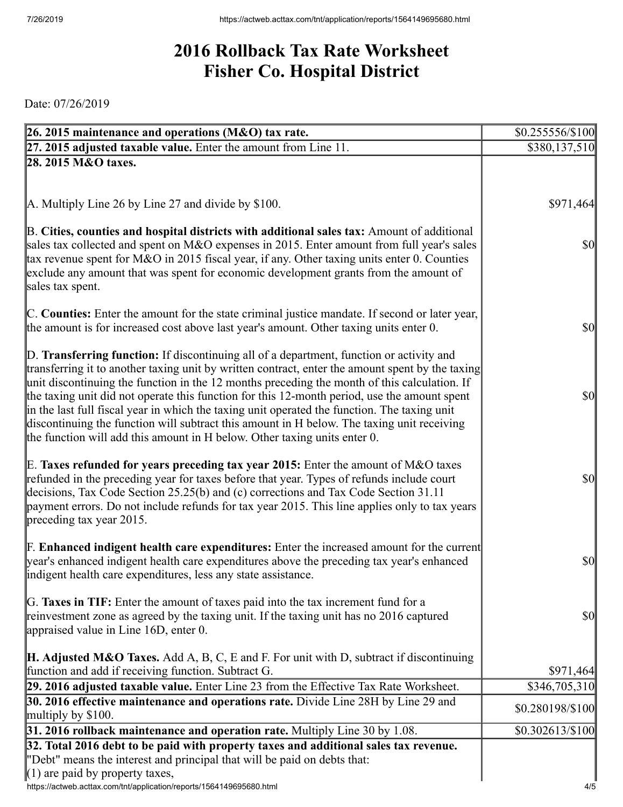## **2016 Rollback Tax Rate Worksheet Fisher Co. Hospital District**

Date: 07/26/2019

| 26. 2015 maintenance and operations (M&O) tax rate.                                                                                                                                                                                                                                                                                                                                                                                                                                                                                                                                                                                                                     | $$0.255556/\$100$                   |
|-------------------------------------------------------------------------------------------------------------------------------------------------------------------------------------------------------------------------------------------------------------------------------------------------------------------------------------------------------------------------------------------------------------------------------------------------------------------------------------------------------------------------------------------------------------------------------------------------------------------------------------------------------------------------|-------------------------------------|
| $27.2015$ adjusted taxable value. Enter the amount from Line 11.                                                                                                                                                                                                                                                                                                                                                                                                                                                                                                                                                                                                        | \$380,137,510                       |
| 28. 2015 M&O taxes.                                                                                                                                                                                                                                                                                                                                                                                                                                                                                                                                                                                                                                                     |                                     |
|                                                                                                                                                                                                                                                                                                                                                                                                                                                                                                                                                                                                                                                                         |                                     |
|                                                                                                                                                                                                                                                                                                                                                                                                                                                                                                                                                                                                                                                                         |                                     |
| $\mathbf{A}$ . Multiply Line 26 by Line 27 and divide by \$100.                                                                                                                                                                                                                                                                                                                                                                                                                                                                                                                                                                                                         | \$971,464                           |
| B. Cities, counties and hospital districts with additional sales tax: Amount of additional<br>sales tax collected and spent on M&O expenses in 2015. Enter amount from full year's sales<br>tax revenue spent for M&O in 2015 fiscal year, if any. Other taxing units enter 0. Counties<br>exclude any amount that was spent for economic development grants from the amount of<br>sales tax spent.                                                                                                                                                                                                                                                                     | $\vert \mathbf{S} \mathbf{0} \vert$ |
| C. Counties: Enter the amount for the state criminal justice mandate. If second or later year,<br>the amount is for increased cost above last year's amount. Other taxing units enter 0.                                                                                                                                                                                                                                                                                                                                                                                                                                                                                | $ 10\rangle$                        |
| D. Transferring function: If discontinuing all of a department, function or activity and<br>transferring it to another taxing unit by written contract, enter the amount spent by the taxing<br>unit discontinuing the function in the 12 months preceding the month of this calculation. If<br>the taxing unit did not operate this function for this 12-month period, use the amount spent<br>in the last full fiscal year in which the taxing unit operated the function. The taxing unit<br>discontinuing the function will subtract this amount in H below. The taxing unit receiving<br>the function will add this amount in H below. Other taxing units enter 0. | $\vert \mathbf{S} \mathbf{0} \vert$ |
| E. Taxes refunded for years preceding tax year 2015: Enter the amount of M&O taxes<br>refunded in the preceding year for taxes before that year. Types of refunds include court<br>decisions, Tax Code Section 25.25(b) and (c) corrections and Tax Code Section 31.11<br>payment errors. Do not include refunds for tax year 2015. This line applies only to tax years<br>preceding tax year 2015.                                                                                                                                                                                                                                                                     | $ 10\rangle$                        |
| <b>F. Enhanced indigent health care expenditures:</b> Enter the increased amount for the current<br>year's enhanced indigent health care expenditures above the preceding tax year's enhanced<br>indigent health care expenditures, less any state assistance.                                                                                                                                                                                                                                                                                                                                                                                                          | $ 10\rangle$                        |
| G. Taxes in TIF: Enter the amount of taxes paid into the tax increment fund for a<br>reinvestment zone as agreed by the taxing unit. If the taxing unit has no 2016 captured<br>appraised value in Line 16D, enter 0.                                                                                                                                                                                                                                                                                                                                                                                                                                                   | \$0                                 |
| <b>H. Adjusted M&amp;O Taxes.</b> Add A, B, C, E and F. For unit with D, subtract if discontinuing                                                                                                                                                                                                                                                                                                                                                                                                                                                                                                                                                                      |                                     |
| function and add if receiving function. Subtract G.                                                                                                                                                                                                                                                                                                                                                                                                                                                                                                                                                                                                                     | \$971,464                           |
| 29. 2016 adjusted taxable value. Enter Line 23 from the Effective Tax Rate Worksheet.<br>30. 2016 effective maintenance and operations rate. Divide Line 28H by Line 29 and                                                                                                                                                                                                                                                                                                                                                                                                                                                                                             | \$346,705,310                       |
| multiply by $$100$ .                                                                                                                                                                                                                                                                                                                                                                                                                                                                                                                                                                                                                                                    | \$0.280198/\$100                    |
| 31. 2016 rollback maintenance and operation rate. Multiply Line 30 by 1.08.                                                                                                                                                                                                                                                                                                                                                                                                                                                                                                                                                                                             | \$0.302613/\$100                    |
| 32. Total 2016 debt to be paid with property taxes and additional sales tax revenue.                                                                                                                                                                                                                                                                                                                                                                                                                                                                                                                                                                                    |                                     |
| "Debt" means the interest and principal that will be paid on debts that:                                                                                                                                                                                                                                                                                                                                                                                                                                                                                                                                                                                                |                                     |
| $(1)$ are paid by property taxes,                                                                                                                                                                                                                                                                                                                                                                                                                                                                                                                                                                                                                                       |                                     |
| https://actweb.acttax.com/tnt/application/reports/1564149695680.html                                                                                                                                                                                                                                                                                                                                                                                                                                                                                                                                                                                                    | 4/5                                 |